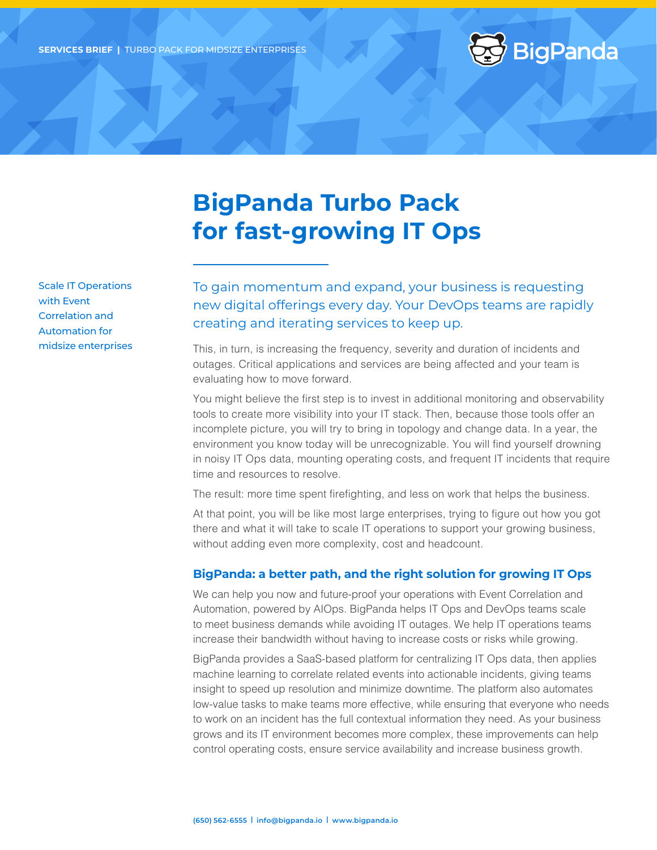

# **BigPanda Turbo Pack for fast-growing IT Ops**

Scale IT Operations with Event Correlation and Automation for midsize enterprises To gain momentum and expand, your business is requesting new digital offerings every day. Your DevOps teams are rapidly creating and iterating services to keep up.

This, in turn, is increasing the frequency, severity and duration of incidents and outages. Critical applications and services are being affected and your team is evaluating how to move forward.

You might believe the first step is to invest in additional monitoring and observability tools to create more visibility into your IT stack. Then, because those tools offer an incomplete picture, you will try to bring in topology and change data. In a year, the environment you know today will be unrecognizable. You will find yourself drowning in noisy IT Ops data, mounting operating costs, and frequent IT incidents that require time and resources to resolve.

The result: more time spent firefighting, and less on work that helps the business.

At that point, you will be like most large enterprises, trying to figure out how you got there and what it will take to scale IT operations to support your growing business, without adding even more complexity, cost and headcount.

#### **BigPanda: a better path, and the right solution for growing IT Ops**

We can help you now and future-proof your operations with Event Correlation and Automation, powered by AIOps. BigPanda helps IT Ops and DevOps teams scale to meet business demands while avoiding IT outages. We help IT operations teams increase their bandwidth without having to increase costs or risks while growing.

BigPanda provides a SaaS-based platform for centralizing IT Ops data, then applies machine learning to correlate related events into actionable incidents, giving teams insight to speed up resolution and minimize downtime. The platform also automates low-value tasks to make teams more effective, while ensuring that everyone who needs to work on an incident has the full contextual information they need. As your business grows and its IT environment becomes more complex, these improvements can help control operating costs, ensure service availability and increase business growth.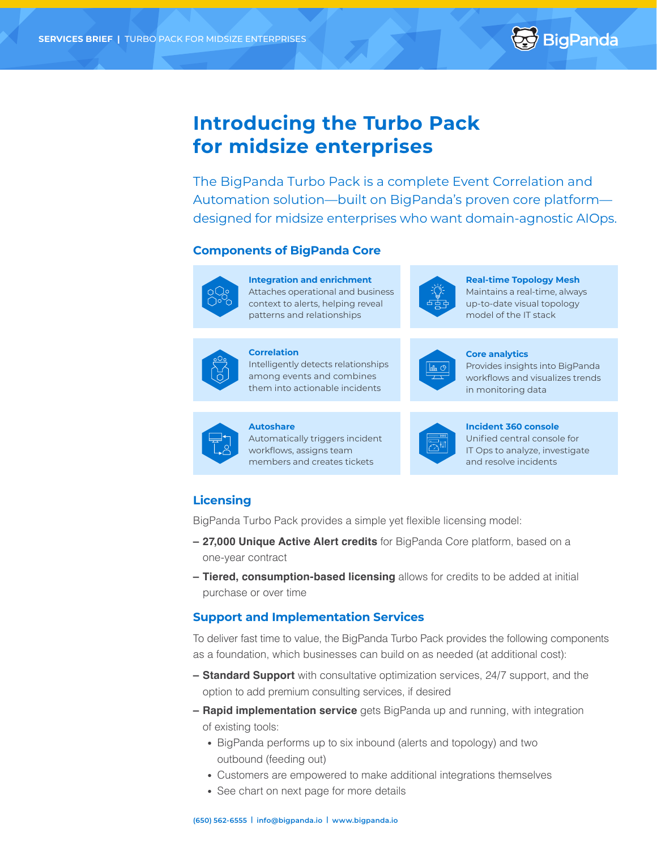

## **Introducing the Turbo Pack for midsize enterprises**

The BigPanda Turbo Pack is a complete Event Correlation and Automation solution—built on BigPanda's proven core platform designed for midsize enterprises who want domain-agnostic AIOps.

#### **Components of BigPanda Core**



**Integration and enrichment** Attaches operational and business context to alerts, helping reveal patterns and relationships



**Real-time Topology Mesh** Maintains a real-time, always up-to-date visual topology model of the IT stack



**Correlation**  Intelligently detects relationships among events and combines

them into actionable incidents

**Core analytics** 

Provides insights into BigPanda workflows and visualizes trends in monitoring data



**Autoshare**  Automatically triggers incident workflows, assigns team members and creates tickets



**Incident 360 console**

Unified central console for IT Ops to analyze, investigate and resolve incidents

### **Licensing**

BigPanda Turbo Pack provides a simple yet flexible licensing model:

- **– 27,000 Unique Active Alert credits** for BigPanda Core platform, based on a one-year contract
- **– Tiered, consumption-based licensing** allows for credits to be added at initial purchase or over time

#### **Support and Implementation Services**

To deliver fast time to value, the BigPanda Turbo Pack provides the following components as a foundation, which businesses can build on as needed (at additional cost):

- **– Standard Support** with consultative optimization services, 24/7 support, and the option to add premium consulting services, if desired
- **– Rapid implementation service** gets BigPanda up and running, with integration of existing tools:
	- BigPanda performs up to six inbound (alerts and topology) and two outbound (feeding out)
	- Customers are empowered to make additional integrations themselves
	- See chart on next page for more details